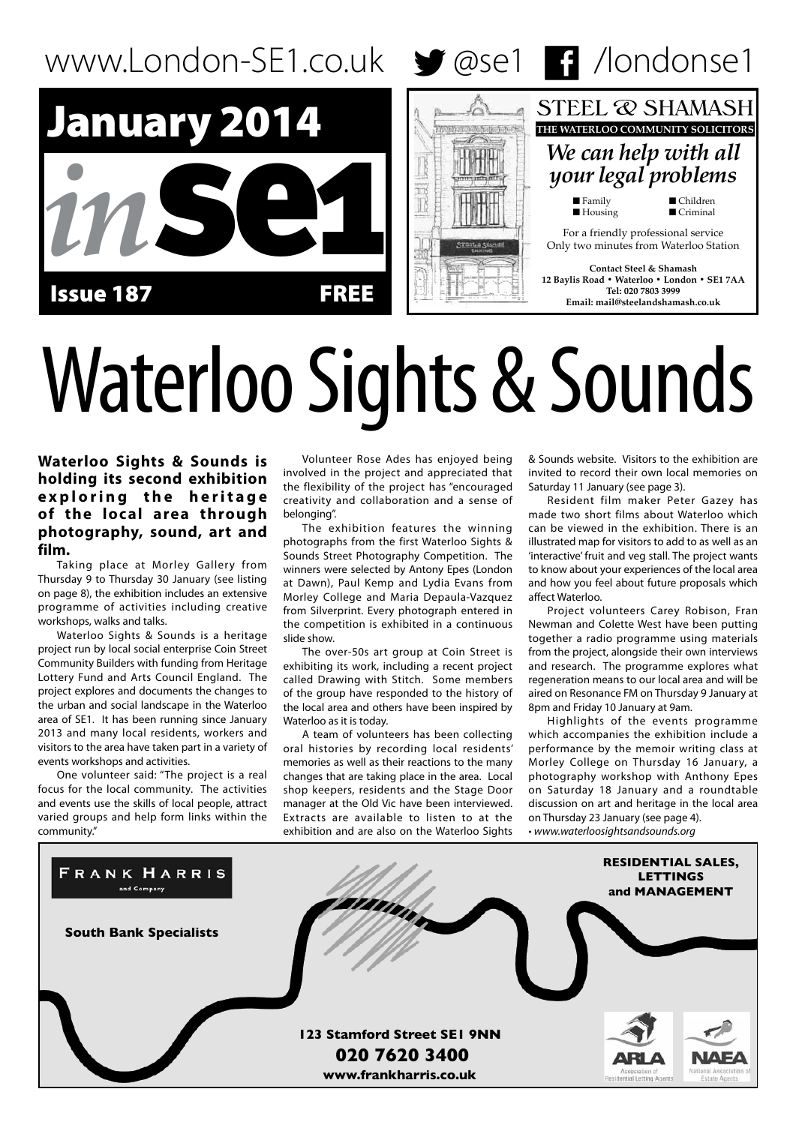

# Waterloo Sights & Sounds

**Waterloo Sights & Sounds is holding its second exhibition e x p l o r i n g t h e h e r i t a g e of the local area through photography, sound, art and film.**

Taking place at Morley Gallery from Thursday 9 to Thursday 30 January (see listing on page 8), the exhibition includes an extensive programme of activities including creative workshops, walks and talks.

Waterloo Sights & Sounds is a heritage project run by local social enterprise Coin Street Community Builders with funding from Heritage Lottery Fund and Arts Council England. The project explores and documents the changes to the urban and social landscape in the Waterloo area of SE1. It has been running since January 2013 and many local residents, workers and visitors to the area have taken part in a variety of events workshops and activities.

One volunteer said: "The project is a real focus for the local community. The activities and events use the skills of local people, attract varied groups and help form links within the community."

Volunteer Rose Ades has enjoyed being involved in the project and appreciated that the flexibility of the project has "encouraged creativity and collaboration and a sense of belonging".

The exhibition features the winning photographs from the first Waterloo Sights & Sounds Street Photography Competition. The winners were selected by Antony Epes (London at Dawn), Paul Kemp and Lydia Evans from Morley College and Maria Depaula-Vazquez from Silverprint. Every photograph entered in the competition is exhibited in a continuous slide show.

The over-50s art group at Coin Street is exhibiting its work, including a recent project called Drawing with Stitch. Some members of the group have responded to the history of the local area and others have been inspired by Waterloo as it is today.

A team of volunteers has been collecting oral histories by recording local residents' memories as well as their reactions to the many changes that are taking place in the area. Local shop keepers, residents and the Stage Door manager at the Old Vic have been interviewed. Extracts are available to listen to at the exhibition and are also on the Waterloo Sights

& Sounds website. Visitors to the exhibition are invited to record their own local memories on Saturday 11 January (see page 3).

Resident film maker Peter Gazey has made two short films about Waterloo which can be viewed in the exhibition. There is an illustrated map for visitors to add to as well as an 'interactive' fruit and veg stall. The project wants to know about your experiences of the local area and how you feel about future proposals which affect Waterloo.

Project volunteers Carey Robison, Fran Newman and Colette West have been putting together a radio programme using materials from the project, alongside their own interviews and research. The programme explores what regeneration means to our local area and will be aired on Resonance FM on Thursday 9 January at 8pm and Friday 10 January at 9am.

Highlights of the events programme which accompanies the exhibition include a performance by the memoir writing class at Morley College on Thursday 16 January, a photography workshop with Anthony Epes on Saturday 18 January and a roundtable discussion on art and heritage in the local area on Thursday 23 January (see page 4). • *www.waterloosightsandsounds.org*

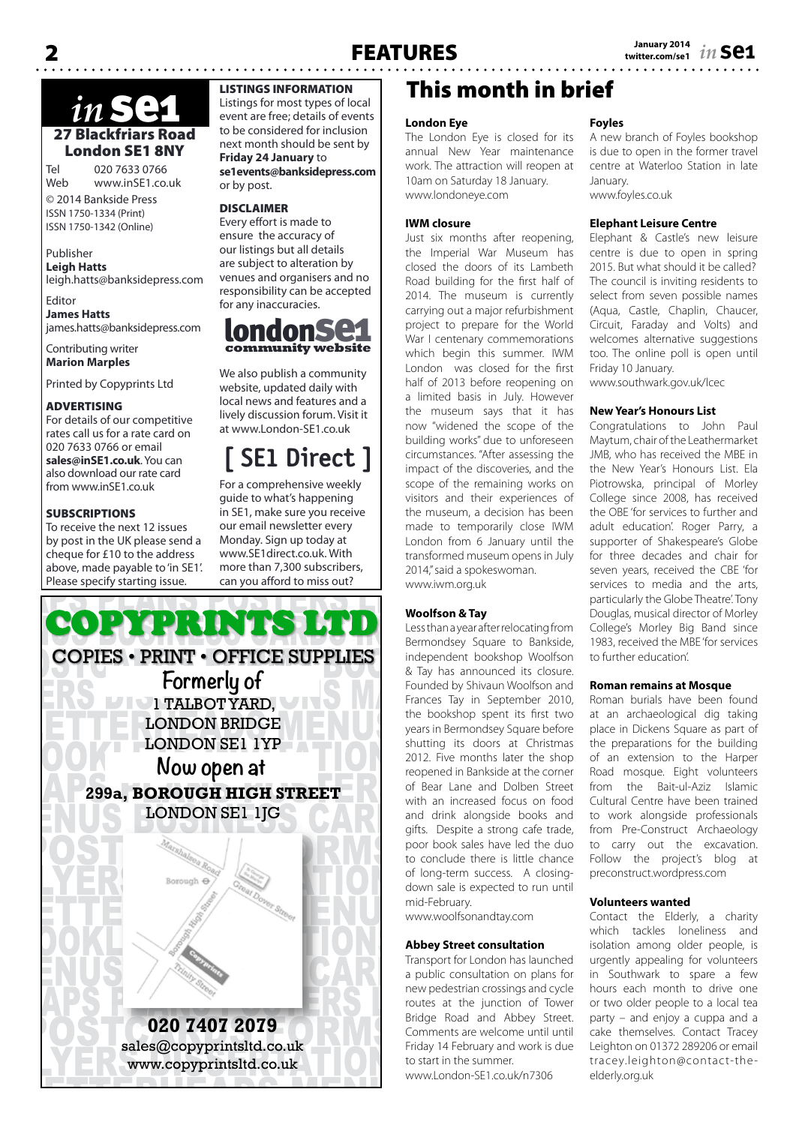# 27 Blackfriars Road London SE1 8NY *in* se1

Tel 020 7633 0766 www.inSE1.co.uk

© 2014 Bankside Press ISSN 1750-1334 (Print) ISSN 1750-1342 (Online)

#### Publisher **Leigh Hatts** leigh.hatts@banksidepress.com

Editor **James Hatts** james.hatts@banksidepress.com

Contributing writer **Marion Marples**

Printed by Copyprints Ltd

### ADVERTISING

For details of our competitive rates call us for a rate card on 020 7633 0766 or email **sales@inSE1.co.uk**. You can also download our rate card from www.inSE1.co.uk

### **SUBSCRIPTIONS**

To receive the next 12 issues by post in the UK please send a cheque for £10 to the address above, made payable to 'in SE1'. Please specify starting issue.

### LISTINGS INFORMATION

Listings for most types of local event are free; details of events to be considered for inclusion next month should be sent by **Friday 24 January** to **se1events@banksidepress.com** or by post.

### DISCLAIMER

Every effort is made to ensure the accuracy of our listings but all details are subject to alteration by venues and organisers and no responsibility can be accepted for any inaccuracies.



We also publish a community website, updated daily with local news and features and a lively discussion forum. Visit it at www.London-SE1.co.uk

# **[ SE1 Direct ]**

For a comprehensive weekly guide to what's happening in SE1, make sure you receive our email newsletter every Monday. Sign up today at www.SE1direct.co.uk. With more than 7,300 subscribers, can you afford to miss out?



# This month in brief

### **London Eye**

The London Eye is closed for its annual New Year maintenance work. The attraction will reopen at 10am on Saturday 18 January. www.londoneye.com

### **IWM closure**

Just six months after reopening, the Imperial War Museum has closed the doors of its Lambeth Road building for the first half of 2014. The museum is currently carrying out a major refurbishment project to prepare for the World War I centenary commemorations which begin this summer. IWM London was closed for the first half of 2013 before reopening on a limited basis in July. However the museum says that it has now "widened the scope of the building works" due to unforeseen circumstances. "After assessing the impact of the discoveries, and the scope of the remaining works on visitors and their experiences of the museum, a decision has been made to temporarily close IWM London from 6 January until the transformed museum opens in July 2014," said a spokeswoman. www.iwm.org.uk

### **Woolfson & Tay**

Less than a year after relocating from Bermondsey Square to Bankside, independent bookshop Woolfson & Tay has announced its closure. Founded by Shivaun Woolfson and Frances Tay in September 2010, the bookshop spent its first two years in Bermondsey Square before shutting its doors at Christmas 2012. Five months later the shop reopened in Bankside at the corner of Bear Lane and Dolben Street with an increased focus on food and drink alongside books and gifts. Despite a strong cafe trade, poor book sales have led the duo to conclude there is little chance of long-term success. A closingdown sale is expected to run until mid-February.

www.woolfsonandtay.com

### **Abbey Street consultation**

Transport for London has launched a public consultation on plans for new pedestrian crossings and cycle routes at the junction of Tower Bridge Road and Abbey Street. Comments are welcome until until Friday 14 February and work is due to start in the summer. www.London-SE1.co.uk/n7306

### **Foyles**

A new branch of Foyles bookshop is due to open in the former travel centre at Waterloo Station in late January. www.foyles.co.uk

### **Elephant Leisure Centre**

Elephant & Castle's new leisure centre is due to open in spring 2015. But what should it be called? The council is inviting residents to select from seven possible names (Aqua, Castle, Chaplin, Chaucer, Circuit, Faraday and Volts) and welcomes alternative suggestions too. The online poll is open until Friday 10 January.

www.southwark.gov.uk/lcec

### **New Year's Honours List**

Congratulations to John Paul Maytum, chair of the Leathermarket JMB, who has received the MBE in the New Year's Honours List. Ela Piotrowska, principal of Morley College since 2008, has received the OBE 'for services to further and adult education'. Roger Parry, a supporter of Shakespeare's Globe for three decades and chair for seven years, received the CBE 'for services to media and the arts, particularly the Globe Theatre'. Tony Douglas, musical director of Morley College's Morley Big Band since 1983, received the MBE 'for services to further education'.

#### **Roman remains at Mosque**

Roman burials have been found at an archaeological dig taking place in Dickens Square as part of the preparations for the building of an extension to the Harper Road mosque. Eight volunteers from the Bait-ul-Aziz Islamic Cultural Centre have been trained to work alongside professionals from Pre-Construct Archaeology to carry out the excavation. Follow the project's blog at preconstruct.wordpress.com

### **Volunteers wanted**

Contact the Elderly, a charity which tackles loneliness and isolation among older people, is urgently appealing for volunteers in Southwark to spare a few hours each month to drive one or two older people to a local tea party – and enjoy a cuppa and a cake themselves. Contact Tracey Leighton on 01372 289206 or email tracey.leighton@contact-theelderly.org.uk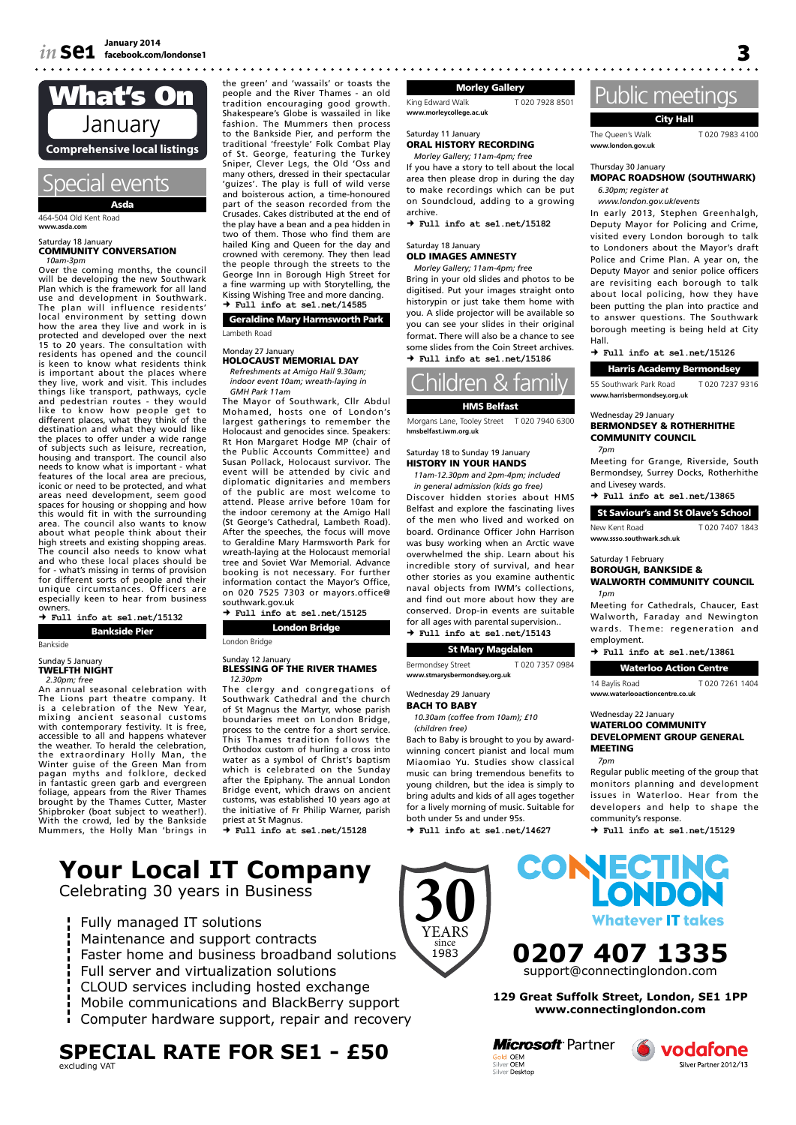

464-504 Old Kent Road **www.asda.com**

#### Saturday 18 January COMMUNITY CONVERSATION *10am-3pm*

Over the coming months, the council will be developing the new Southwark Plan which is the framework for all land use and development in Southwark. The plan will influence residents' local environment by setting down how the area they live and work in is protected and developed over the next 15 to 20 years. The consultation with residents has opened and the council is keen to know what residents think is important about the places where they live, work and visit. This includes things like transport, pathways, cycle and pedestrian routes - they would like to know how people get to different places, what they think of the destination and what they would like the places to offer under a wide range of subjects such as leisure, recreation, housing and transport. The council also needs to know what is important - what features of the local area are precious, iconic or need to be protected, and what areas need development, seem good spaces for housing or shopping and how this would fit in with the surrounding area. The council also wants to know about what people think about their high streets and existing shopping areas. The council also needs to know what and who these local places should be for - what's missing in terms of provision for different sorts of people and their unique circumstances. Officers are especially keen to hear from business owners.

 **Full info at se1.net/15132**

Bankside Pier **Bankside** 

### Sunday 5 January<br>**TWELFTH NIGHT**

*2.30pm; free*

An annual seasonal celebration with The Lions part theatre company. It is a celebration of the New Year, mixing ancient seasonal customs with contemporary festivity. It is free, accessible to all and happens whatever the weather. To herald the celebration, the extraordinary Holly Man, the Winter guise of the Green Man from pagan myths and folklore, decked in fantastic green garb and evergreen foliage, appears from the River Thames brought by the Thames Cutter, Master Shipbroker (boat subject to weather!). With the crowd, led by the Bankside Mummers, the Holly Man 'brings in the green' and 'wassails' or toasts the people and the River Thames - an old tradition encouraging good growth. Shakespeare's Globe is wassailed in like fashion. The Mummers then process to the Bankside Pier, and perform the traditional 'freestyle' Folk Combat Play of St. George, featuring the Turkey Sniper, Clever Legs, the Old 'Oss and many others, dressed in their spectacular 'guizes'. The play is full of wild verse and boisterous action, a time-honoured part of the season recorded from the Crusades. Cakes distributed at the end of the play have a bean and a pea hidden in two of them. Those who find them are hailed King and Queen for the day and crowned with ceremony. They then lead the people through the streets to the George Inn in Borough High Street for a fine warming up with Storytelling, the

Kissing Wishing Tree and more dancing.  **Full info at se1.net/14585** Geraldine Mary Harmsworth Park Lambeth Road

#### Monday 27 Janua **HOLOCAUST MEMORIAL DAY** *Refreshments at Amigo Hall 9.30am;*

*indoor event 10am; wreath-laying in GMH Park 11am*

The Mayor of Southwark, Cllr Abdul Mohamed, hosts one of London's largest gatherings to remember the Holocaust and genocides since. Speakers: Rt Hon Margaret Hodge MP (chair of the Public Accounts Committee) and Susan Pollack, Holocaust survivor. The event will be attended by civic and diplomatic dignitaries and members of the public are most welcome to attend. Please arrive before 10am for the indoor ceremony at the Amigo Hall (St George's Cathedral, Lambeth Road). After the speeches, the focus will move to Geraldine Mary Harmsworth Park for wreath-laying at the Holocaust memorial tree and Soviet War Memorial. Advance booking is not necessary. For further information contact the Mayor's Office, on 020 7525 7303 or mayors.office@ southwark.gov.uk

 **Full info at se1.net/15125** London Bridge

London Bridge

#### Sunday 12 January<br>**BLESSING OF THE RIVER THAMES** *12.30pm*

The clergy and congregations of Southwark Cathedral and the church of St Magnus the Martyr, whose parish boundaries meet on London Bridge, process to the centre for a short service. This Thames tradition follows the Orthodox custom of hurling a cross into water as a symbol of Christ's baptism which is celebrated on the Sunday after the Epiphany. The annual London Bridge event, which draws on ancient customs, was established 10 years ago at the initiative of Fr Philip Warner, parish

priest at St Magnus.  **Full info at se1.net/15128**

# **Your Local IT Company**

Celebrating 30 years in Business

- Fully managed IT solutions
- Maintenance and support contracts
- Faster home and business broadband solutions
- Full server and virtualization solutions
- CLOUD services including hosted exchange
- Mobile communications and BlackBerry support
- Computer hardware support, repair and recovery

### **SPECIAL RATE FOR SE1 - £50** excluding VAT

Morley Gallery

King Edward Walk T 020 7928 8501 **www.morleycollege.ac.uk**

Saturday 11 January ORAL HISTORY RECORDING

### *Morley Gallery; 11am-4pm; free*

If you have a story to tell about the local area then please drop in during the day to make recordings which can be put on Soundcloud, adding to a growing archive.

 **Full info at se1.net/15182**

#### Saturday 18 January OLD IMAGES AMNESTY

*Morley Gallery; 11am-4pm; free* Bring in your old slides and photos to be digitised. Put your images straight onto historypin or just take them home with you. A slide projector will be available so you can see your slides in their original format. There will also be a chance to see some slides from the Coin Street archives.  **Full info at se1.net/15186**

hildren & family HMS Belfast

Morgans Lane, Tooley Street T 020 7940 6300 **hmsbelfast.iwm.org.uk**

#### Saturday 18 to Sunday 19 January HISTORY IN YOUR HANDS

*11am-12.30pm and 2pm-4pm; included in general admission (kids go free)*

Discover hidden stories about HMS Belfast and explore the fascinating lives of the men who lived and worked on board. Ordinance Officer John Harrison was busy working when an Arctic wave overwhelmed the ship. Learn about his incredible story of survival, and hear other stories as you examine authentic naval objects from IWM's collections, and find out more about how they are conserved. Drop-in events are suitable for all ages with parental supervision..  **Full info at se1.net/15143**

### St Mary Magdalen

Bermondsey Street T 020 7357 0984 **www.stmarysbermondsey.org.uk**

### Wednesday 29 January

BACH TO BABY

*10.30am (coffee from 10am); £10 (children free)*

Bach to Baby is brought to you by awardwinning concert pianist and local mum Miaomiao Yu. Studies show classical music can bring tremendous benefits to young children, but the idea is simply to bring adults and kids of all ages together for a lively morning of music. Suitable for both under 5s and under 95s.  **Full info at se1.net/14627**

Public meetings

#### City Hall

The Queen's Walk T 020 7983 4100 **www.london.gov.uk**

#### Thursday 30 January

MOPAC ROADSHOW (SOUTHWARK) *6.30pm; register at* 

*www.london.gov.uk/events*

In early 2013, Stephen Greenhalgh, Deputy Mayor for Policing and Crime, visited every London borough to talk to Londoners about the Mayor's draft Police and Crime Plan. A year on, the Deputy Mayor and senior police officers are revisiting each borough to talk about local policing, how they have been putting the plan into practice and to answer questions. The Southwark borough meeting is being held at City Hall.

 **Full info at se1.net/15126**

Harris Academy Bermondsey 55 Southwark Park Road T 020 7237 9316 **www.harrisbermondsey.org.uk**

Wednesday 29 January

#### BERMONDSEY & ROTHERHITHE COMMUNITY COUNCIL *7pm*

Meeting for Grange, Riverside, South Bermondsey, Surrey Docks, Rotherhithe and Livesey wards.

 **Full info at se1.net/13865**

St Saviour's and St Olave's School New Kent Road T 020 7407 1843

### **www.ssso.southwark.sch.uk** Saturday 1 February

#### BOROUGH, BANKSIDE & WALWORTH COMMUNITY COUNCIL *1pm*

Meeting for Cathedrals, Chaucer, East Walworth, Faraday and Newington wards. Theme: regeneration and employment.

#### **Full info at se1.net/13861**

#### Waterloo Action Centre

14 Baylis Road T 020 7261 1404 **www.waterlooactioncentre.co.uk**

#### Wednesday 22 January WATERLOO COMMUNITY DEVELOPMENT GROUP GENERAL MEETING *7pm*

Regular public meeting of the group that monitors planning and development issues in Waterloo. Hear from the developers and help to shape the community's response.  **Full info at se1.net/15129**

Whatever IT takes

**30** YEARS since 1983

> **129 Great Suffolk Street, London, SE1 1PP www.connectinglondon.com**

**0207 407 1335** support@connectinglondon.com

**CONECTING** 

**Microsoft** Partner Gold OEM<br>Silver OEM<br>Silver Desktop



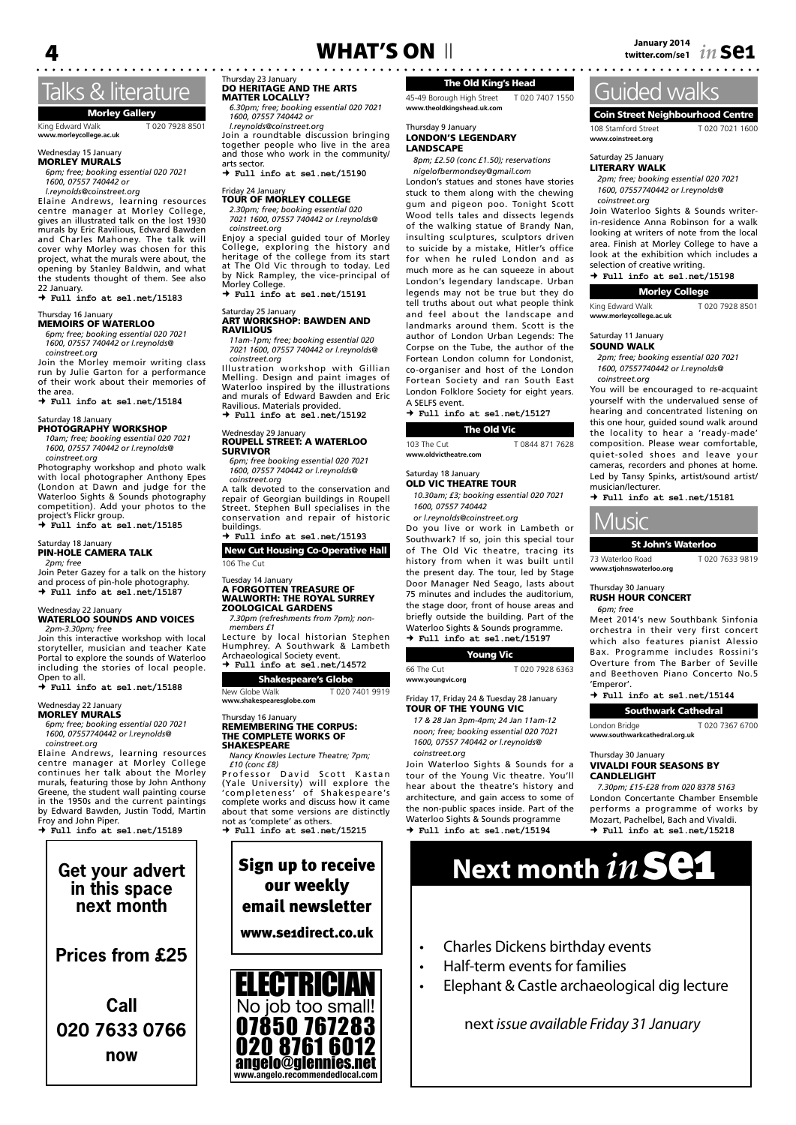### Talks & literature

Morley Gallery King Edward Walk T 020 7928 8501 **www.morleycollege.ac.uk**

### Wednesday 15 January<br>**MORLEY MURALS**

*6pm; free; booking essential 020 7021 1600, 07557 740442 or*

*l.reynolds@coinstreet.org*

Elaine Andrews, learning resources centre manager at Morley College, gives an illustrated talk on the lost 1930 murals by Eric Ravilious, Edward Bawden and Charles Mahoney. The talk will cover why Morley was chosen for this project, what the murals were about, the opening by Stanley Baldwin, and what the students thought of them. See also

22 January.  **Full info at se1.net/15183**

#### Irsday 16 Janua MEMOIRS OF WATERLOO

*6pm; free; booking essential 020 7021 1600, 07557 740442 or l.reynolds@ coinstreet.org*

Join the Morley memoir writing class run by Julie Garton for a performance of their work about their memories of the area.

 **Full info at se1.net/15184**

### Saturday 18 January<br>**PHOTOGRAPHY WORKSHOP**

*10am; free; booking essential 020 7021 1600, 07557 740442 or l.reynolds@*

*coinstreet.org* Photography workshop and photo walk with local photographer Anthony Epes (London at Dawn and judge for the Waterloo Sights & Sounds photography competition). Add your photos to the project's Flickr group.  **Full info at se1.net/15185**

#### Saturday 18 January<br>**PIN-HOLE CAMERA TALK** *2pm; free*

Join Peter Gazey for a talk on the history and process of pin-hole photography.  **Full info at se1.net/15187**

#### Wednesday 22 January<br>**WATERLOO SOUNDS AND VOICES** *2pm-3.30pm; free*

Join this interactive workshop with local storyteller, musician and teacher Kate Portal to explore the sounds of Waterloo including the stories of local people. Open to all.

 **Full info at se1.net/15188**

#### Wednesday 22 Janu

MORLEY MURALS *6pm; free; booking essential 020 7021 1600, 07557740442 or l.reynolds@*

*coinstreet.org* Elaine Andrews, learning resources

centre manager at Morley College continues her talk about the Morley murals, featuring those by John Anthony Greene, the student wall painting course in the 1950s and the current paintings by Edward Bawden, Justin Todd, Martin Froy and John Piper.  **Full info at se1.net/15189**

### **Get your advert in this space next month**

**Prices from £25**

**Call 020 7633 0766 now**

Thursday 23 January DO HERITAGE AND THE ARTS

 **Full info at se1.net/15190** Friday 24 January<br>TOUR OF MORLEY COLLEGE *2.30pm; free; booking essential 020 7021 1600, 07557 740442 or l.reynolds@ coinstreet.org* Enjoy a special guided tour of Morley College, exploring the history and heritage of the college from its start at The Old Vic through to today. Led by Nick Rampley, the vice-principal of

 **Full info at se1.net/15191**

ART WORKSHOP: BAWDEN AND

*11am-1pm; free; booking essential 020 7021 1600, 07557 740442 or l.reynolds@*

Illustration workshop with Gillian Melling. Design and paint images of Waterloo inspired by the illustrations and murals of Edward Bawden and Eric Ravilious. Materials provided.  **Full info at se1.net/15192**

ROUPELL STREET: A WATERLOO SURVIVOR *6pm; free booking essential 020 7021 1600, 07557 740442 or l.reynolds@*

A talk devoted to the conservation and repair of Georgian buildings in Roupell Street. Stephen Bull specialises in the conservation and repair of historic buildings.  **Full info at se1.net/15193** New Cut Housing Co-Operative Hall

Tuesday 14 January<br>**A FORGOTTEN TREASURE OF<br>WALWORTH: THE ROYAL SURREY<br>ZOOLOGICAL GARDENS** *7.30pm (refreshments from 7pm); non-*

Lecture by local historian Stephen Humphrey. A Southwark & Lambeth

*6.30pm; free; booking essential 020 7021 1600, 07557 740442 or l.reynolds@coinstreet.org* Join a roundtable discussion bringing together people who live in the area and those who work in the community/

MATTER LOCALLY?

arts sector.

By Their Rumpre

Saturday 25 January

*coinstreet.org*

Wednesday 29 January

*coinstreet.org*

106 The Cut

*members £1*

RAVILIOUS

### The Old King's Head

45-49 Borough High Street T 020 7407 1550 **www.theoldkingshead.uk.com**

#### Thursday 9 January LONDON'S LEGENDARY LANDSCAPE

*8pm; £2.50 (conc £1.50); reservations nigelofbermondsey@gmail.com*

London's statues and stones have stories stuck to them along with the chewing gum and pigeon poo. Tonight Scott Wood tells tales and dissects legends of the walking statue of Brandy Nan, insulting sculptures, sculptors driven to suicide by a mistake, Hitler's office for when he ruled London and as much more as he can squeeze in about London's legendary landscape. Urban legends may not be true but they do tell truths about out what people think and feel about the landscape and landmarks around them. Scott is the author of London Urban Legends: The Corpse on the Tube, the author of the Fortean London column for Londonist, co-organiser and host of the London Fortean Society and ran South East London Folklore Society for eight years. A SELFS event.

 **Full info at se1.net/15127** The Old Vic

103 The Cut T 0844 871 7628 www.oldvicth

#### Saturday 18 January

OLD VIC THEATRE TOUR *10.30am; £3; booking essential 020 7021 1600, 07557 740442*

*or l.reynolds@coinstreet.org*

Do you live or work in Lambeth or Southwark? If so, join this special tour of The Old Vic theatre, tracing its history from when it was built until the present day. The tour, led by Stage Door Manager Ned Seago, lasts about 75 minutes and includes the auditorium, the stage door, front of house areas and briefly outside the building. Part of the Waterloo Sights & Sounds programme.  **Full info at se1.net/15197**

### Young Vic

66 The Cut T 020 7928 6363 **www.youngvic.org**

#### Friday 17, Friday 24 & Tuesday 28 January TOUR OF THE YOUNG VIC

*17 & 28 Jan 3pm-4pm; 24 Jan 11am-12 noon; free; booking essential 020 7021 1600, 07557 740442 or l.reynolds@*

Join Waterloo Sights & Sounds for a tour of the Young Vic theatre. You'll hear about the theatre's history and architecture, and gain access to some of the non-public spaces inside. Part of the Waterloo Sights & Sounds programme

**4** *Ianuary 2014 in Industry 2014* **WHAT'S ON** ||<br>| *i*witter.com/se1 *11* **Se1 in Se1** 

### Guided walks

Coin Street Neighbourhood Centre 108 Stamford Street T 020 7021 1600 **www.coinstreet.org**

#### Saturday 25 January LITERARY WALK

*2pm; free; booking essential 020 7021 1600, 07557740442 or l.reynolds@*

*coinstreet.org* Join Waterloo Sights & Sounds writerin-residence Anna Robinson for a walk looking at writers of note from the local area. Finish at Morley College to have a look at the exhibition which includes a

selection of creative writing.

 **Full info at se1.net/15198**

#### Morley College

King Edward Walk T 020 7928 8501 **www.morleycollege.ac.uk**

Saturday 11 January

SOUND WALK

*2pm; free; booking essential 020 7021 1600, 07557740442 or l.reynolds@ coinstreet.org*

You will be encouraged to re-acquaint yourself with the undervalued sense of hearing and concentrated listening on this one hour, guided sound walk around the locality to hear a 'ready-made' composition. Please wear comfortable, quiet-soled shoes and leave your cameras, recorders and phones at home. Led by Tansy Spinks, artist/sound artist/ musician/lecturer.

 **Full info at se1.net/15181**



73 Waterloo Road T 020 7633 9819 **www.stjohnswaterloo.org**

#### Thursday 30 January RUSH HOUR CONCERT *6pm; free*

Meet 2014's new Southbank Sinfonia

orchestra in their very first concert which also features pianist Alessio Bax. Programme includes Rossini's Overture from The Barber of Seville and Beethoven Piano Concerto No.5 'Emperor'.

 **Full info at se1.net/15144** Southwark Cathedral

London Bridge T 020 7367 6700 **www.southwarkcathedral.org.uk**

#### Thursday 30 January VIVALDI FOUR SEASONS BY CANDLELIGHT

*7.30pm; £15-£28 from 020 8378 5163* London Concertante Chamber Ensemble performs a programme of works by Mozart, Pachelbel, Bach and Vivaldi.  **Full info at se1.net/15218**

# Sign up to receive **Next month**  $\boldsymbol{in}$  **Se1**

- Charles Dickens birthday events
- Half-term events for families
- Elephant & Castle archaeological dig lecture

### next *issue available Friday 31 January*

*coinstreet.org*

 **Full info at se1.net/15194**

Archaeological Society event.  **Full info at se1.net/14572** Shakespeare's Globe New Globe Walk T 020 7401 9919 **www.shakespearesglobe.com**

#### Thursday 16 January REMEMBERING THE CORPUS: THE COMPLETE WORKS OF SHAKESPEARE

*Nancy Knowles Lecture Theatre; 7pm; £10 (conc £8)*

Professor David Scott Kastan (Yale University) will explore the 'completeness' of Shakespeare's complete works and discuss how it came about that some versions are distinctly not as 'complete' as others.

 **Full info at se1.net/15215**



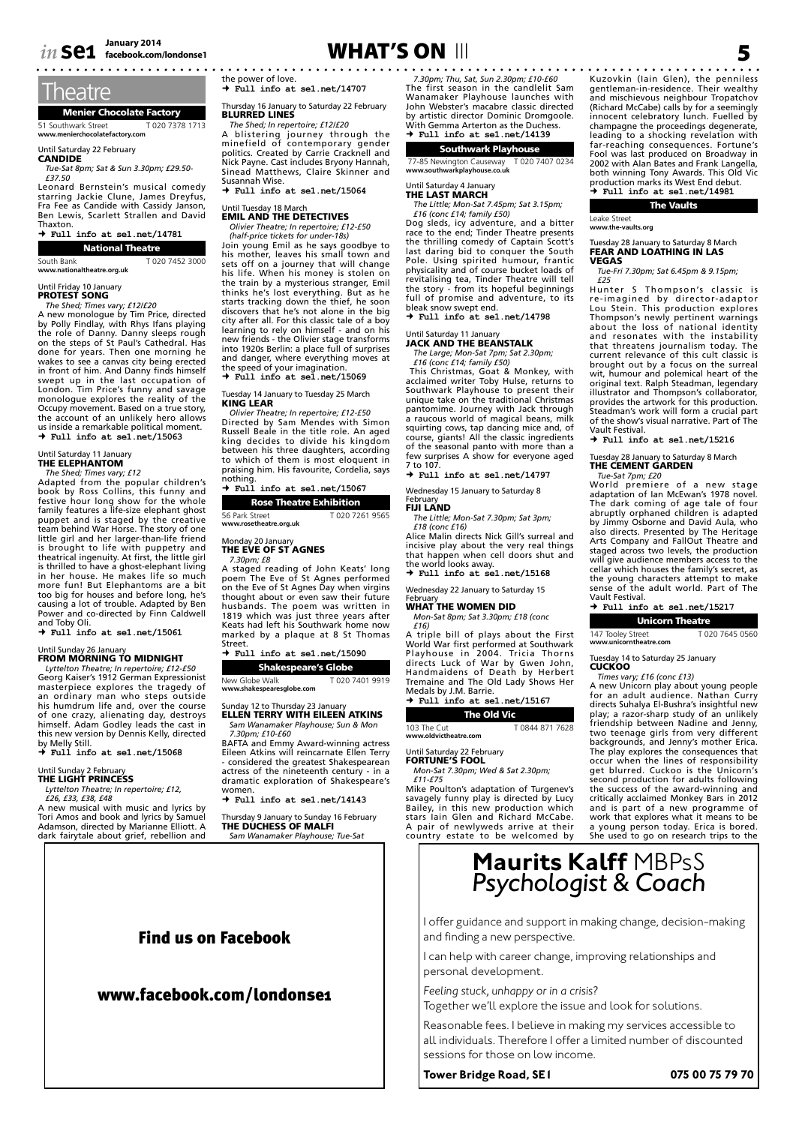

### **Theatre**

Menier Chocolate Factory 51 Southwark Street T 020 7378 1713 **www.menierchocolatefactory.com**

Until Saturday 22 February<br>**CANDIDE** 

*Tue-Sat 8pm; Sat & Sun 3.30pm; £29.50- £37.50*

Leonard Bernstein's musical comedy starring Jackie Clune, James Dreyfus, Fra Fee as Candide with Cassidy Janson, Ben Lewis, Scarlett Strallen and David Thaxton.

#### **Full info at se1.net/14781**

National Theatre

South Bank T 020 7452 3000 **www.nationaltheatre.org.uk**

### Until Friday 10 January PROTEST SONG

*The Shed; Times vary; £12/£20* A new monologue by Tim Price, directed by Polly Findlay, with Rhys Ifans playing the role of Danny. Danny sleeps rough on the steps of St Paul's Cathedral. Has done for years. Then one morning he wakes to see a canvas city being erected in front of him. And Danny finds himself swept up in the last occupation of London. Tim Price's funny and savage monologue explores the reality of the Occupy movement. Based on a true story, the account of an unlikely hero allows us inside a remarkable political moment.  **Full info at se1.net/15063**

### Until Saturday 11 January THE ELEPHANTOM

*The Shed; Times vary; £12*<br>Adapted from the popular children's<br>book by Ross Collins, this funny and<br>festive hour long show for the whole<br>family features a life-size elephant ghost puppet and is staged by the creative team behind War Horse. The story of one little girl and her larger-than-life friend<br>is brought to life with puppetry and<br>theatrical ingenuity. At first, the little girl<br>is thrilled to have a ghost-elephant living<br>in her house. He makes life so much<br>more fun! But too big for houses and before long, he's causing a lot of trouble. Adapted by Ben Power and co-directed by Finn Caldwell and Toby Oli.

 **Full info at se1.net/15061**

### Until Sunday 26 January<br>**FROM MORNING TO MIDNIGHT**

*Lyttelton Theatre; In repertoire; £12-£50* Georg Kaiser's 1912 German Expressionist masterpiece explores the tragedy of<br>an ordinary man who steps outside<br>his humdrum life and, over the course<br>of one crazy, alienating day, destroys<br>himself. Adam Godley leads the cast in<br>this new version by Dennis Kelly, di

 **Full info at se1.net/15068**

### Until Sunday 2 February THE LIGHT PRINCESS

*Lyttelton Theatre; In repertoire; £12, £26, £33, £38, £48*

A new musical with music and lyrics by

Tori Amos and book and lyrics by Samuel Adamson, directed by Marianne Elliott. A dark fairytale about grief, rebellion and

# **facebook.com/londonse1** 5 WHAT'S ON III

the power of love.

 **Full info at se1.net/14707**

Thursday 16 January to Saturday 22 February<br>**BLURRED LINES** 

*The Shed; In repertoire; £12/£20*

A blistering journey through the minefield of contemporary gender politics. Created by Carrie Cracknell and Nick Payne. Cast includes Bryony Hannah, Sinead Matthews, Claire Skinner and Susannah Wise.

 **Full info at se1.net/15064**

### Until Tuesday 18 March EMIL AND THE DETECTIVES

*Olivier Theatre; In repertoire; £12-£50 (half-price tickets for under-18s)*

Join young Emil as he says goodbye to his mother, leaves his small town and sets off on a journey that will change his life. When his money is stolen on the train by a mysterious stranger, Emil thinks he's lost everything. But as he starts tracking down the thief, he soon discovers that he's not alone in the big city after all. For this classic tale of a boy learning to rely on himself - and on his new friends - the Olivier stage transforms into 1920s Berlin: a place full of surprises and danger, where everything moves at the speed of your imagination.  **Full info at se1.net/15069**

### Tuesday 14 January to Tuesday 25 March<br>**KING LEAR**

*Olivier Theatre; In repertoire; £12-£50* Directed by Sam Mendes with Simon Russell Beale in the title role. An aged king decides to divide his kingdom between his three daughters, according to which of them is most eloquent in praising him. His favourite, Cordelia, says

nothing.  **Full info at se1.net/15067**

| <b>Rose Theatre Exhibition</b> |                |
|--------------------------------|----------------|
| 56 Park Street                 | T020 7261 9565 |
| www.rosetheatre.org.uk         |                |

Monday 20 January<br>**THE EVE OF ST AGNES** 

*7.30pm; £8*

A staged reading of John Keats' long poem The Eve of St Agnes performed on the Eve of St Agnes Day when virgins thought about or even saw their future husbands. The poem was written in 1819 which was just three years after Keats had left his Southwark home now marked by a plaque at 8 St Thomas Street.

|                            |  |  |  | $\rightarrow$ Full info at sel.net/15090 |  |  |
|----------------------------|--|--|--|------------------------------------------|--|--|
| <b>Shakespeare's Globe</b> |  |  |  |                                          |  |  |

#### New Globe Walk T 020 7401 9919 **www.shakespearesglobe.com**

nday 12 to Thursday 23 Januar ELLEN TERRY WITH EILEEN ATKINS *Sam Wanamaker Playhouse; Sun & Mon* 

*7.30pm; £10-£60* BAFTA and Emmy Award-winning actress Eileen Atkins will reincarnate Ellen Terry - considered the greatest Shakespearean actress of the nineteenth century - in a dramatic exploration of Shakespeare's women.  **Full info at se1.net/14143**

Thursday 9 January to Sunday 16 February<br>**THE DUCHESS OF MALFI** *Sam Wanamaker Playhouse; Tue-Sat* 

### Find us on Facebook

### www.facebook.com/londonse1

*7.30pm; Thu, Sat, Sun 2.30pm; £10-£60* The first season in the candlelit Sam Wanamaker Playhouse launches with John Webster's macabre classic directed by artistic director Dominic Dromgoole. With Gemma Arterton as the Duchess.  **Full info at se1.net/14139**

### Southwark Playhouse

77-85 Newington Causeway T 020 7407 0234 **www.southwarkplayhouse.co.uk**

#### Until Saturday 4 January THE LAST MARCH

*The Little; Mon-Sat 7.45pm; Sat 3.15pm; £16 (conc £14; family £50)*

Dog sleds, icy adventure, and a bitter race to the end; Tinder Theatre presents the thrilling comedy of Captain Scott's last daring bid to conquer the South Pole. Using spirited humour, frantic physicality and of course bucket loads of revitalising tea, Tinder Theatre will tell the story - from its hopeful beginnings full of promise and adventure, to its bleak snow swept end.  **Full info at se1.net/14798**

### Until Saturday 11 January<br>**JACK AND THE BEANSTALK**

*The Large; Mon-Sat 7pm; Sat 2.30pm;* 

*£16 (conc £14; family £50)*<br>This Christmas, Goat & Monkey, with acclaimed writer Toby Hulse, returns to Southwark Playhouse to present their unique take on the traditional Christmas pantomime. Journey with Jack through<br>a raucous world of magical beans, milk<br>squirting cows, tap dancing mice and, of<br>course, giants! All the classic ingredients<br>of the seasonal panto with more than a<br>few surprises A show f 7 to 107.

 **Full info at se1.net/14797**

### Wednesday 15 January to Saturday 8

February<br>FIJI LAND *The Little; Mon-Sat 7.30pm; Sat 3pm;* 

*£18 (conc £16)* Alice Malin directs Nick Gill's surreal and incisive play about the very real things that happen when cell doors shut and the world looks away.

 **Full info at se1.net/15168**

### Wednesday 22 January to Saturday 15

February WHAT THE WOMEN DID

*Mon-Sat 8pm; Sat 3.30pm; £18 (conc* 

#### *£16)* A triple bill of plays about the First World War first performed at Southwark Playhouse in 2004. Tricia Thorns directs Luck of War by Gwen John, Handmaidens of Death by Herbert Tremaine and The Old Lady Shows Her Medals by J.M. Barrie.  **Full info at se1.net/15167**

### The Old Vic

103 The Cut T 0844 871 7628 **www.oldvictheatre.com**

Until Saturday 22 February

#### FORTUNE'S FOOL

*Mon-Sat 7.30pm; Wed & Sat 2.30pm; £11-£75*

Mike Poulton's adaptation of Turgenev's savagely funny play is directed by Lucy Bailey, in this new production which stars Iain Glen and Richard McCabe. A pair of newlyweds arrive at their country estate to be welcomed by

Kuzovkin (Iain Glen), the penniless gentleman-in-residence. Their wealthy and mischievous neighbour Tropatchov (Richard McCabe) calls by for a seemingly innocent celebratory lunch. Fuelled by champagne the proceedings degenerate, leading to a shocking revelation with far-reaching consequences. Fortune's Fool was last produced on Broadway in 2002 with Alan Bates and Frank Langella, both winning Tony Awards. This Old Vic production marks its West End debut.  **Full info at se1.net/14981**

Leake Street **www.the-vaults.org**

#### Tuesday 28 January to Saturday 8 March FEAR AND LOATHING IN LAS VEGAS

*Tue-Fri 7.30pm; Sat 6.45pm & 9.15pm;* 

f25<br>re-imagined by director-adaptor<br>re-imagined by director-adaptor<br>Lou Stein. This production explores<br>Thompson's newly pertinent warnings<br>about the loss of national identity<br>and resonates with the instability<br>that threat current relevance of this cult classic is brought out by a focus on the surreal wit, humour and polemical heart of the original text. Ralph Steadman, legendary illustrator and Thompson's collaborator, provides the artwork for this production. Steadman's work will form a crucial part of the show's visual narrative. Part of The Vault Festival.

 **Full info at se1.net/15216**

### Tuesday 28 January to Saturday 8 March THE CEMENT GARDEN

*Tue-Sat 7pm; £20* World premiere of a new stage adaptation of Ian McEwan's 1978 novel. The dark coming of age tale of four abruptly orphaned children is adapted by Jimmy Osborne and David Aula, who also directs. Presented by The Heritage Arts Company and FallOut Theatre and staged across two levels, the production will give audience members access to the cellar which houses the family's secret, as the young characters attempt to make sense of the adult world. Part of The Vault Festival.

 **Full info at se1.net/15217**

### Unicorn Theatre

147 Tooley Street T 020 7645 0560 **www.unicorntheatre.com**

**CUCKOO** 

directs Suhalya El-Bushra's insightful new play; a razor-sharp study of an unlikely friendship between Nadine and Jenny, two teenage girls from very different backgrounds, and Jenny's mother Erica. The play explores the consequences that occur when the lines of responsibility get blurred. Cuckoo is the Unicorn's second production for adults following the success of the award-winning and critically acclaimed Monkey Bars in 2012 and is part of a new programme of work that explores what it means to be a young person today. Erica is bored. She used to go on research trips to the

# **Maurits Kalff** MBPsS *Psychologist & Coach*

I offer guidance and support in making change, decision-making and finding a new perspective.

I can help with career change, improving relationships and personal development.

*Feeling stuck, unhappy or in a crisis?*  Together we'll explore the issue and look for solutions.

Reasonable fees. I believe in making my services accessible to all individuals. Therefore I offer a limited number of discounted sessions for those on low income.

#### **Tower Bridge Road, SE1 075 00 75 79 70**

Tuesday 14 to Saturday 25 January *Times vary; £16 (conc £13)* A new Unicorn play about young people for an adult audience. Nathan Curry

The Vaults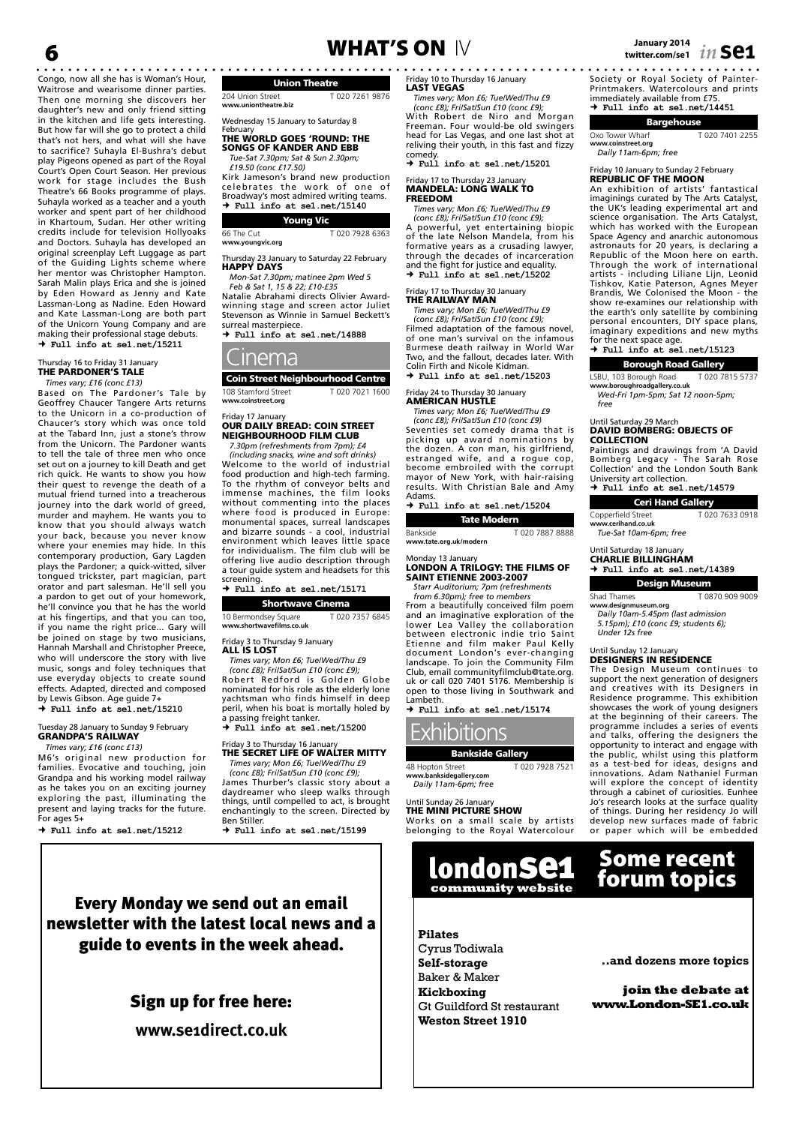Congo, now all she has is Woman's Hour, Waitrose and wearisome dinner parties. Then one morning she discovers her daughter's new and only friend sitting in the kitchen and life gets interesting. But how far will she go to protect a child that's not hers, and what will she have to sacrifice? Suhayla El-Bushra's debut play Pigeons opened as part of the Royal Court's Open Court Season. Her previous work for stage includes the Bush Theatre's 66 Books programme of plays. Suhayla worked as a teacher and a youth worker and spent part of her childhood in Khartoum, Sudan. Her other writing credits include for television Hollyoaks and Doctors. Suhayla has developed an original screenplay Left Luggage as part of the Guiding Lights scheme where her mentor was Christopher Hampton. Sarah Malin plays Erica and she is joined by Eden Howard as Jenny and Kate Lassman-Long as Nadine. Eden Howard and Kate Lassman-Long are both part of the Unicorn Young Company and are making their professional stage debuts.  **Full info at se1.net/15211**

#### Thursday 16 to Friday 31 January<br>**THE PARDONER'S TALE** *Times vary; £16 (conc £13)*

Based on The Pardoner's Tale by Geoffrey Chaucer Tangere Arts returns to the Unicorn in a co-production of Chaucer's story which was once told at the Tabard Inn, just a stone's throw from the Unicorn. The Pardoner wants to tell the tale of three men who once set out on a journey to kill Death and get rich quick. He wants to show you how their quest to revenge the death of a mutual friend turned into a treacherous journey into the dark world of greed, murder and mayhem. He wants you to know that you should always watch your back, because you never know where your enemies may hide. In this contemporary production, Gary Lagden plays the Pardoner; a quick-witted, silver tongued trickster, part magician, part orator and part salesman. He'll sell you a pardon to get out of your homework, he'll convince you that he has the world at his fingertips, and that you can too, if you name the right price... Gary will be joined on stage by two musicians, Hannah Marshall and Christopher Preece, who will underscore the story with live music, songs and foley techniques that use everyday objects to create sound effects. Adapted, directed and composed by Lewis Gibson. Age guide 7+  **Full info at se1.net/15210**

#### sday 28 January to Sunday 9 February GRANDPA'S RAILWAY *Times vary; £16 (conc £13)*

M6's original new production for families. Evocative and touching, join Grandpa and his working model railway as he takes you on an exciting journey exploring the past, illuminating the present and laying tracks for the future. For ages 5+

 $\rightarrow$  Full info at sel net/15212

# **January 2014** 6 WHAT'S ON IV **twitter.com/se1** *in* **se1**

Union Theatre

204 Union Street T 020 7261 9876 **www.uniontheatre.biz**

Wednesday 15 January to Saturday 8<br>February

February THE WORLD GOES 'ROUND: THE SONGS OF KANDER AND EBB *Tue-Sat 7.30pm; Sat & Sun 2.30pm;* 

*£19.50 (conc £17.50)*

Kirk Jameson's brand new production celebrates the work of one of Broadway's most admired writing teams.  **Full info at se1.net/15140**

#### Young Vic 66 The Cut T 020 7928 6363

**www.youngvic.org**

Thursday 23 January to Saturday 22 February<br>**HAPPY DAYS** 

*Mon-Sat 7.30pm; matinee 2pm Wed 5 Feb & Sat 1, 15 & 22; £10-£35*

Natalie Abrahami directs Olivier Awardwinning stage and screen actor Juliet Stevenson as Winnie in Samuel Beckett's surreal masterpiece.  **Full info at se1.net/14888**

### Cinema

Coin Street Neighbourhood Centre 108 Stamford Street T 020 7021 1600 **www.coinstreet.org**

#### Friday 17 January OUR DAILY BREAD: COIN STREET **NEIGHBOURHOOD FILM CLUB**

*7.30pm (refreshments from 7pm); £4* 

*(including snacks, wine and soft drinks)* Welcome to the world of industrial food production and high-tech farming. To the rhythm of conveyor belts and immense machines, the film looks without commenting into the places where food is produced in Europe: monumental spaces, surreal landscapes and bizarre sounds - a cool, industrial environment which leaves little space for individualism. The film club will be offering live audio description through a tour guide system and headsets for this screening.  **Full info at se1.net/15171**

Shortwave Cinema 10 Bermondsey Square T 020 7357 6845 **www.shortwavefilms.co.uk**

Friday 3 to Thursday 9 January

ALL IS LOST *Times vary; Mon £6; Tue/Wed/Thu £9 (conc £8); Fri/Sat/Sun £10 (conc £9);*  Robert Redford is Golden Globe nominated for his role as the elderly lone yachtsman who finds himself in deep peril, when his boat is mortally holed by a passing freight tanker.

 **Full info at se1.net/15200**

### Friday 3 to Thursday 16 January THE SECRET LIFE OF WALTER MITTY

*Times vary; Mon £6; Tue/Wed/Thu £9 (conc £8); Fri/Sat/Sun £10 (conc £9);*  James Thurber's classic story about a daydreamer who sleep walks through things, until compelled to act, is brought enchantingly to the screen. Directed by Ben Stiller.

 $+$   $Ful$ <sup>1</sup> info at se1 net/15199

riday 10 to Thursday 16 January LAST VEGAS

*Times vary; Mon £6; Tue/Wed/Thu £9* 

*(conc £8); Fri/Sat/Sun £10 (conc £9);*  With Robert de Niro and Morgan Freeman. Four would-be old swingers head for Las Vegas, and one last shot at reliving their youth, in this fast and fizzy comedy.

 **Full info at se1.net/15201**

#### Friday 17 to Thursday 23 January MANDELA: LONG WALK TO FREEDOM

*Times vary; Mon £6; Tue/Wed/Thu £9 (conc £8); Fri/Sat/Sun £10 (conc £9);*  A powerful, yet entertaining biopic of the late Nelson Mandela, from his formative years as a crusading lawyer, through the decades of incarceration and the fight for justice and equality.  **Full info at se1.net/15202**

#### riday 17 to Thursday 30 January THE RAILWAY MAN

*Times vary; Mon £6; Tue/Wed/Thu £9 (conc £8); Fri/Sat/Sun £10 (conc £9);*  Filmed adaptation of the famous novel, of one man's survival on the infamous Burmese death railway in World War Two, and the fallout, decades later. With Colin Firth and Nicole Kidman.  **Full info at se1.net/15203**

### Friday 24 to Thursday 30 January AMERICAN HUSTLE

*Times vary; Mon £6; Tue/Wed/Thu £9 (conc £8); Fri/Sat/Sun £10 (conc £9)* Seventies set comedy drama that is picking up award nominations by the dozen. A con man, his girlfriend, estranged wife, and a rogue cop, become embroiled with the corrupt mayor of New York, with hair-raising results. With Christian Bale and Amy Adams.

 **Full info at se1.net/15204**

Tate Modern Bankside T 020 7887 8888 **www.tate.org.uk/modern**

#### Monday 13 January LONDON A TRILOGY: THE FILMS OF SAINT ETIENNE 2003-2007

*Starr Auditorium; 7pm (refreshments from 6.30pm); free to members*

From a beautifully conceived film poem and an imaginative exploration of the lower Lea Valley the collaboration between electronic indie trio Saint Etienne and film maker Paul Kelly document London's ever-changing landscape. To join the Community Film Club, email communityfilmclub@tate.org. uk or call 020 7401 5176. Membership is open to those living in Southwark and Lambeth.

 **Full info at se1.net/15174**



Bankside Gallery 48 Hopton Street T 020 7928 7521 **www.**<br>www.banksidegallery.com

*Daily 11am-6pm; free*

### Until Sunday 26 January<br>**THE MINI PICTURE SHOW**

Works on a small scale by artists belonging to the Royal Watercolour

> londonse1 **community website**



Cyrus Todiwala **Self-storage** Baker & Maker **Kickboxing** Gt Guildford St restaurant **Weston Street 1910**

Society or Royal Society of Painter-

Printmakers. Watercolours and prints immediately available from £75.  **Full info at se1.net/14451**

### Bargehouse

Oxo Tower Wharf T 020 7401 2255 **www.coinstreet.org** *Daily 11am-6pm; free*

### Friday 10 January to Sunday 2 February REPUBLIC OF THE MOON

An exhibition of artists' fantastical imaginings curated by The Arts Catalyst, the UK's leading experimental art and science organisation. The Arts Catalyst, which has worked with the European Space Agency and anarchic autonomous astronauts for 20 years, is declaring a Republic of the Moon here on earth. Through the work of international artists - including Liliane Lijn, Leonid Tishkov, Katie Paterson, Agnes Meyer Brandis, We Colonised the Moon - the show re-examines our relationship with the earth's only satellite by combining personal encounters, DIY space plans, imaginary expeditions and new myths for the next space age.  **Full info at se1.net/15123**

Borough Road Gallery

LSBU, 103 Borough Road T 020 7815 5737 **www.boroughroadgallery.co.uk**

*Wed-Fri 1pm-5pm; Sat 12 noon-5pm; free*

#### Until Saturday 29 March DAVID BOMBERG: OBJECTS OF COLLECTION

Paintings and drawings from 'A David Bomberg Legacy - The Sarah Rose Collection' and the London South Bank University art collection.<br>**→ Full info at sel.net/14579** 

Ceri Hand Gallery

Copperfield Street T 020 7633 0918

**www.cerihand.co.uk** *Tue-Sat 10am-6pm; free*

Until Saturday 18 January CHARLIE BILLINGHAM  **Full info at se1.net/14389**

| <b>Design Museum</b> |                |  |  |  |  |  |
|----------------------|----------------|--|--|--|--|--|
| Shad Thames          | T0870 909 9009 |  |  |  |  |  |
| www.docianmucoum.org |                |  |  |  |  |  |

**www.designmuseum.org** *Daily 10am-5.45pm (last admission 5.15pm); £10 (conc £9; students 6); Under 12s free*

#### Until Sunday 12 January DESIGNERS IN RESIDENCE

The Design Museum continues to support the next generation of designers and creatives with its Designers in Residence programme. This exhibition showcases the work of young designers at the beginning of their careers. The programme includes a series of events and talks, offering the designers the opportunity to interact and engage with the public, whilst using this platform as a test-bed for ideas, designs and innovations. Adam Nathaniel Furman will explore the concept of identity through a cabinet of curiosities. Eunhee Jo's research looks at the surface quality of things. During her residency Jo will develop new surfaces made of fabric or paper which will be embedded

## Some recent forum topics

**..and dozens more topics**

**join the debate at www.London-SE1.co.uk**

Every Monday we send out an email newsletter with the latest local news and a guide to events in the week ahead.

### Sign up for free here:

**www.se1direct.co.uk**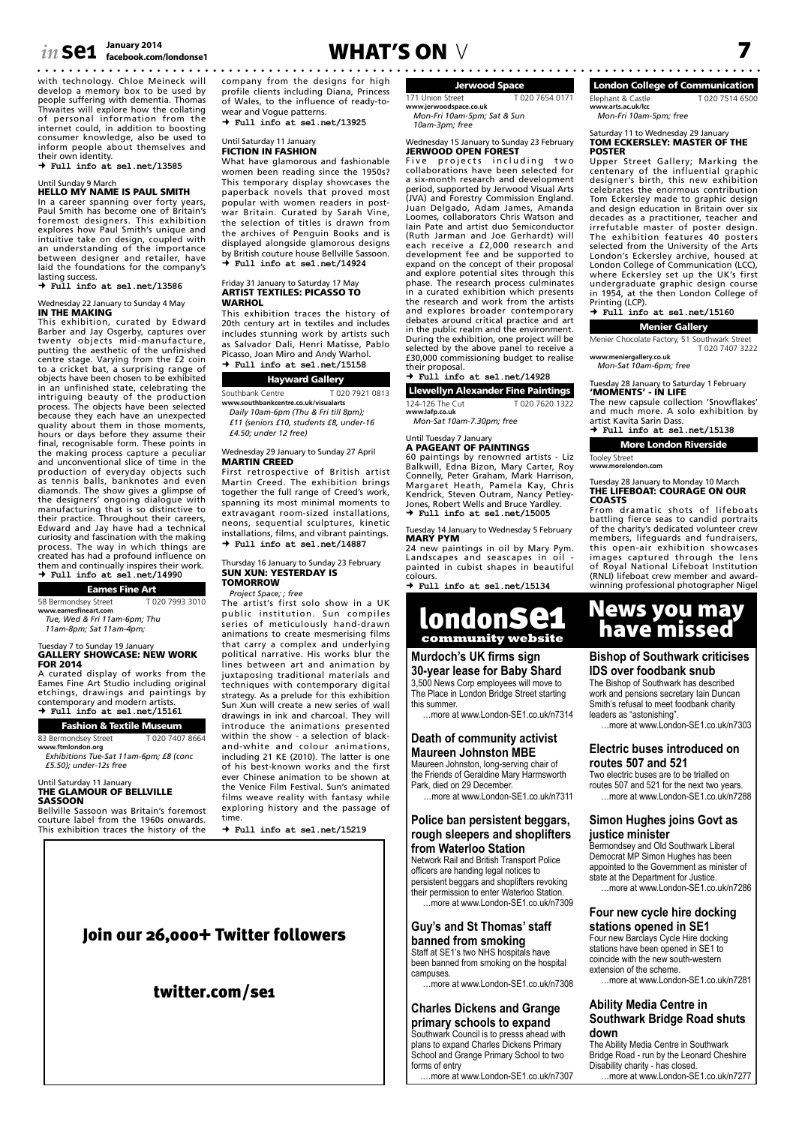# *in* **se1**  $\frac{J_{\text{anuary 2014}}}{I_{\text{facebook.com/ondonse1}}}$  **WHAT'S ON**  $\vee$  7

with technology. Chloe Meineck will develop a memory box to be used by people suffering with dementia. Thomas Thwaites will explore how the collating of personal information from the internet could, in addition to boosting consumer knowledge, also be used to inform people about themselves and

their own identity.  **Full info at se1.net/13585**

### Until Sunday 9 March HELLO MY NAME IS PAUL SMITH

In a career spanning over forty years, Paul Smith has become one of Britain's foremost designers. This exhibition explores how Paul Smith's unique and intuitive take on design, coupled with an understanding of the importance between designer and retailer, have laid the foundations for the company's lasting success.

### **Full info at se1.net/13586**

### Wednesday 22 January to Sunday 4 May<br>**IN THE MAKING**

This exhibition, curated by Edward Barber and Jay Osgerby, captures over twenty objects mid-manufacture, putting the aesthetic of the unfinished centre stage. Varying from the £2 coin to a cricket bat, a surprising range of objects have been chosen to be exhibited in an unfinished state, celebrating the intriguing beauty of the production process. The objects have been selected because they each have an unexpected quality about them in those moments, hours or days before they assume their final, recognisable form. These points in the making process capture a peculiar and unconventional slice of time in the production of everyday objects such as tennis balls, banknotes and even<br>diamonds. The show gives a glimpse of<br>the designers' ongoing dialogue with<br>manufacturing that is so distinctive to<br>their practice. Throughout their careers,<br>Edward and Jay have had a tec curiosity and fascination with the making process. The way in which things are created has had a profound influence on them and continually inspires their work.  **Full info at se1.net/14990**

| <b>Eames Fine Art</b> |  |  |
|-----------------------|--|--|
|                       |  |  |

58 Bermondsey Street T 020 7993 3010 **www.eamesfineart.com**

*Tue, Wed & Fri 11am-6pm; Thu* 

*11am-8pm; Sat 11am-4pm;* 

#### Tuesday 7 to Sunday 19 January<br>**GALLERY SHOWCASE: NEW WORK** FOR 2014

A curated display of works from the Eames Fine Art Studio including original etchings, drawings and paintings by contemporary and modern artists.  **Full info at se1.net/15161**

### Fashion & Textile Museum

83 Bermondsey Street T 020 7407 8664 **www.ftmlondon.org**

*Exhibitions Tue-Sat 11am-6pm; £8 (conc £5.50); under-12s free*

#### Until Saturday 11 January THE GLAMOUR OF BELLVILLE SASSOON

Bellville Sassoon was Britain's foremost couture label from the 1960s onwards. This exhibition traces the history of the

company from the designs for high profile clients including Diana, Princess of Wales, to the influence of ready-towear and Vogue patterns.

 **Full info at se1.net/13925**

### Until Saturday 11 January FICTION IN FASHION

What have glamorous and fashionable women been reading since the 1950s? This temporary display showcases the paperback novels that proved most popular with women readers in postwar Britain. Curated by Sarah Vine, the selection of titles is drawn from the archives of Penguin Books and is displayed alongside glamorous designs by British couture house Bellville Sassoon.  **Full info at se1.net/14924**

### Friday 31 January to Saturday 17 May ARTIST TEXTILES: PICASSO TO **WARHOL**

This exhibition traces the history of 20th century art in textiles and includes includes stunning work by artists such as Salvador Dali, Henri Matisse, Pablo Picasso, Joan Miro and Andy Warhol.  **Full info at se1.net/15158**

Hayward Gallery Southbank Centre T 020 7921 0813 **www.southbankcentre.co.uk/visualarts**

*Daily 10am-6pm (Thu & Fri till 8pm); £11 (seniors £10, students £8, under-16* 

*£4.50; under 12 free)*

#### Wednesday 29 January to Sunday 27 April **MARTIN CREED**

First retrospective of British artist Martin Creed. The exhibition brings together the full range of Creed's work, spanning its most minimal moments to extravagant room-sized installations, neons, sequential sculptures, kinetic installations, films, and vibrant paintings.  **Full info at se1.net/14887**

#### Thursday 16 January to Sunday 23 February SUN XUN: YESTERDAY IS TOMORROW

#### *Project Space; ; free*

The artist's first solo show in a UK public institution. Sun compiles series of meticulously hand-drawn animations to create mesmerising films that carry a complex and underlying political narrative. His works blur the lines between art and animation by juxtaposing traditional materials and techniques with contemporary digital strategy. As a prelude for this exhibition Sun Xun will create a new series of wall drawings in ink and charcoal. They will introduce the animations presented within the show - a selection of black-and-white and colour animations, including 21 KE (2010). The latter is one of his best-known works and the first ever Chinese animation to be shown at the Venice Film Festival. Sun's animated films weave reality with fantasy while exploring history and the passage of time.

 **Full info at se1.net/15219**

### Join our 26,000+ Twitter followers

### twitter.com/se1

Jerwood Space 171 Union Street T 020 7654 0171 **www.jerwoodspace.co.uk** *Mon-Fri 10am-5pm; Sat & Sun* 

*10am-3pm; free*

### Wednesday 15 January to Sunday 23 February<br>**JERWOOD OPEN FOREST**

Five projects including two<br>collaborationshavebeenselectedfor a six-month research and development period, supported by Jerwood Visual Arts (JVA) and Forestry Commission England. Juan Delgado, Adam James, Amanda Loomes, collaborators Chris Watson and Iain Pate and artist duo Semiconductor (Ruth Jarman and Joe Gerhardt) will each receive a £2,000 research and development fee and be supported to expand on the concept of their proposal and explore potential sites through this phase. The research process culminates in a curated exhibition which presents the research and work from the artists and explores broader contemporary debates around critical practice and art in the public realm and the environment. During the exhibition, one project will be selected by the above panel to receive a £30,000 commissioning budget to realise their proposal.

### **Full info at se1.net/14928**

Llewellyn Alexander Fine Paintings 124-126 The Cut T 020 7620 1322

**www.lafp.co.uk** *Mon-Sat 10am-7.30pm; free*

### Until Tuesday 7 January A PAGEANT OF PAINTINGS

60 paintings by renowned artists - Liz Balkwill, Edna Bizon, Mary Carter, Roy Connelly, Peter Graham, Mark Harrison, Margaret Heath, Pamela Kay, Chris Kendrick, Steven Outram, Nancy Petley-Jones, Robert Wells and Bruce Yardley.  **Full info at se1.net/15005**

### Tuesday 14 January to Wednesday 5 February<br>**MARY PYM**

24 new paintings in oil by Mary Pym. Landscapes and seascapes in oil - painted in cubist shapes in beautiful colours.

 **Full info at se1.net/15134**

### londonse1 **community website**

#### **Murdoch's UK firms sign 30-year lease for Baby Shard**

3,500 News Corp employees will move to The Place in London Bridge Street starting this summer.

…more at www.London-SE1.co.uk/n7314

#### **Death of community activist Maureen Johnston MBE**

Maureen Johnston, long-serving chair of the Friends of Geraldine Mary Harmsworth Park, died on 29 December.

…more at www.London-SE1.co.uk/n7311

#### **Police ban persistent beggars, rough sleepers and shoplifters from Waterloo Station**

Network Rail and British Transport Police officers are handing legal notices to persistent beggars and shoplifters revoking their permission to enter Waterloo Station. …more at www.London-SE1.co.uk/n7309

#### **Guy's and St Thomas' staff banned from smoking** Staff at SE1's two NHS hospitals have

been banned from smoking on the hospital campuses.

…more at www.London-SE1.co.uk/n7308

### **Charles Dickens and Grange**

**primary schools to expand** Southwark Council is to presss ahead with plans to expand Charles Dickens Primary School and Grange Primary School to two forms of entry

.…more at www.London-SE1.co.uk/n7307

London College of Communication Elephant & Castle T 020 7514 6500 **www.arts.ac.uk/lcc** *Mon-Fri 10am-5pm; free*

#### Saturday 11 to Wednesday 29 January TOM ECKERSLEY: MASTER OF THE POSTER

Upper Street Gallery; Marking the centenary of the influential graphic designer's birth, this new exhibition celebrates the enormous contribution Tom Eckersley made to graphic design and design education in Britain over six decades as a practitioner, teacher and irrefutable master of poster design. The exhibition features 40 posters selected from the University of the Arts London's Eckersley archive, housed at London College of Communication (LCC), where Eckersley set up the UK's first undergraduate graphic design course in 1954, at the then London College of Printing (LCP).  **Full info at se1.net/15160**

Menier Gallery

Menier Chocolate Factory, 51 Southwark Street T 020 7407 3222 **www.meniergallery.co.uk**

#### *Mon-Sat 10am-6pm; free*

Tuesday 28 January to Saturday 1 February 'MOMENTS' - IN LIFE

The new capsule collection 'Snowflakes' and much more. A solo exhibition by artist Kavita Sarin Dass.  **Full info at se1.net/15138**

### More London Riverside

Tooley Street **www.morelondon.com**

#### Tuesday 28 January to Monday 10 March THE LIFEBOAT: COURAGE ON OUR **COASTS**

From dramatic shots of lifeboats battling fierce seas to candid portraits of the charity's dedicated volunteer crew members, lifeguards and fundraisers, this open-air exhibition showcases images captured through the lens of Royal National Lifeboat Institution (RNLI) lifeboat crew member and awardwinning professional photographer Nigel

### News you may have missed

#### **Bishop of Southwark criticises IDS over foodbank snub**

The Bishop of Southwark has described work and pensions secretary Iain Duncan Smith's refusal to meet foodbank charity leaders as "astonishing". …more at www.London-SE1.co.uk/n7303

#### **Electric buses introduced on routes 507 and 521**

Two electric buses are to be trialled on routes 507 and 521 for the next two years. …more at www.London-SE1.co.uk/n7288

#### **Simon Hughes joins Govt as justice minister**

Bermondsey and Old Southwark Liberal Democrat MP Simon Hughes has been appointed to the Government as minister of state at the Department for Justice. …more at www.London-SE1.co.uk/n7286

#### **Four new cycle hire docking stations opened in SE1**

Four new Barclays Cycle Hire docking stations have been opened in SE1 to coincide with the new south-western extension of the scheme.

…more at www.London-SE1.co.uk/n7281

### **Ability Media Centre in Southwark Bridge Road shuts**

**down** The Ability Media Centre in Southwark Bridge Road - run by the Leonard Cheshire Disability charity - has closed.

…more at www.London-SE1.co.uk/n7277